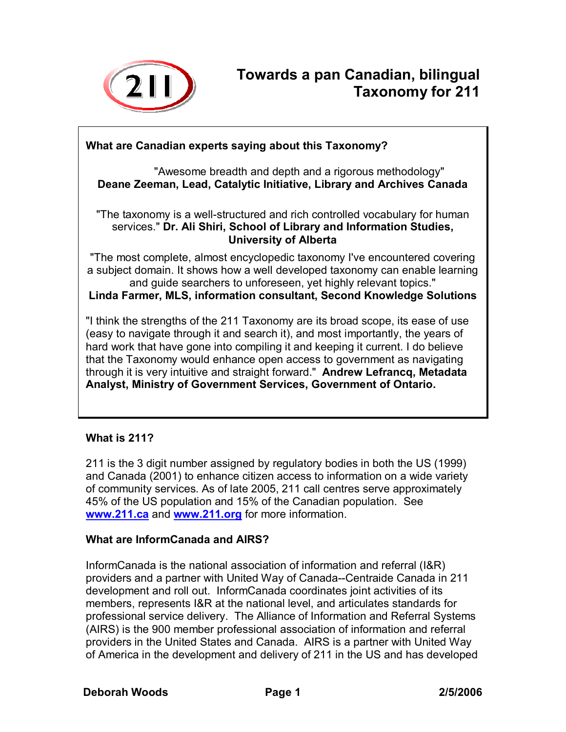

# **What are Canadian experts saying about this Taxonomy?**

"Awesome breadth and depth and a rigorous methodology" **Deane Zeeman, Lead, Catalytic Initiative, Library and Archives Canada** 

"The taxonomy is a well-structured and rich controlled vocabulary for human services." **Dr. Ali Shiri, School of Library and Information Studies, University of Alberta**

"The most complete, almost encyclopedic taxonomy I've encountered covering a subject domain. It shows how a well developed taxonomy can enable learning and guide searchers to unforeseen, yet highly relevant topics."

**Linda Farmer, MLS, information consultant, Second Knowledge Solutions** 

"I think the strengths of the 211 Taxonomy are its broad scope, its ease of use (easy to navigate through it and search it), and most importantly, the years of hard work that have gone into compiling it and keeping it current. I do believe that the Taxonomy would enhance open access to government as navigating through it is very intuitive and straight forward." **Andrew Lefrancq, Metadata Analyst, Ministry of Government Services, Government of Ontario.** 

# **What is 211?**

211 is the 3 digit number assigned by regulatory bodies in both the US (1999) and Canada (2001) to enhance citizen access to information on a wide variety of community services. As of late 2005, 211 call centres serve approximately 45% of the US population and 15% of the Canadian population. See **www.211.ca** and **www.211.org** for more information.

#### **What are InformCanada and AIRS?**

InformCanada is the national association of information and referral (I&R) providers and a partner with United Way of Canada--Centraide Canada in 211 development and roll out. InformCanada coordinates joint activities of its members, represents I&R at the national level, and articulates standards for professional service delivery. The Alliance of Information and Referral Systems (AIRS) is the 900 member professional association of information and referral providers in the United States and Canada. AIRS is a partner with United Way of America in the development and delivery of 211 in the US and has developed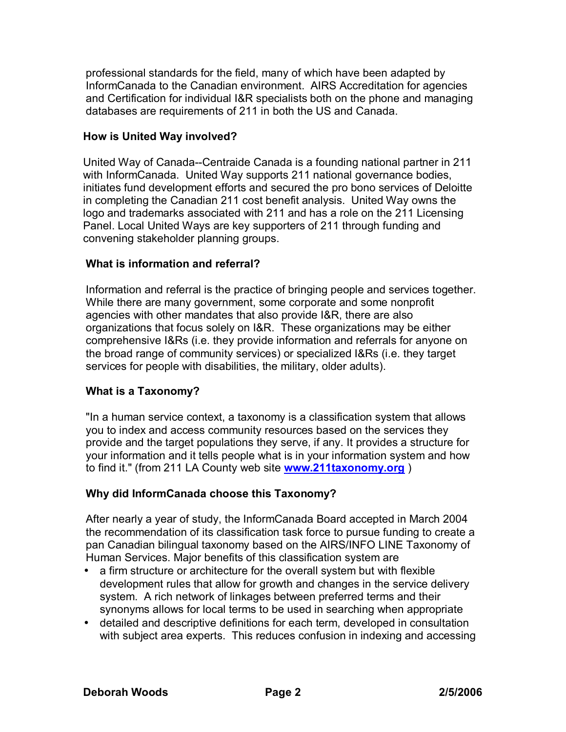professional standards for the field, many of which have been adapted by InformCanada to the Canadian environment. AIRS Accreditation for agencies and Certification for individual I&R specialists both on the phone and managing databases are requirements of 211 in both the US and Canada.

## **How is United Way involved?**

United Way of Canada--Centraide Canada is a founding national partner in 211 with InformCanada. United Way supports 211 national governance bodies, initiates fund development efforts and secured the pro bono services of Deloitte in completing the Canadian 211 cost benefit analysis. United Way owns the logo and trademarks associated with 211 and has a role on the 211 Licensing Panel. Local United Ways are key supporters of 211 through funding and convening stakeholder planning groups.

#### **What is information and referral?**

Information and referral is the practice of bringing people and services together. While there are many government, some corporate and some nonprofit agencies with other mandates that also provide I&R, there are also organizations that focus solely on I&R. These organizations may be either comprehensive I&Rs (i.e. they provide information and referrals for anyone on the broad range of community services) or specialized I&Rs (i.e. they target services for people with disabilities, the military, older adults).

# **What is a Taxonomy?**

"In a human service context, a taxonomy is a classification system that allows you to index and access community resources based on the services they provide and the target populations they serve, if any. It provides a structure for your information and it tells people what is in your information system and how to find it." (from 211 LA County web site **www.211taxonomy.org** )

#### **Why did InformCanada choose this Taxonomy?**

After nearly a year of study, the InformCanada Board accepted in March 2004 the recommendation of its classification task force to pursue funding to create a pan Canadian bilingual taxonomy based on the AIRS/INFO LINE Taxonomy of Human Services. Major benefits of this classification system are

- a firm structure or architecture for the overall system but with flexible development rules that allow for growth and changes in the service delivery system. A rich network of linkages between preferred terms and their synonyms allows for local terms to be used in searching when appropriate
- detailed and descriptive definitions for each term, developed in consultation with subject area experts. This reduces confusion in indexing and accessing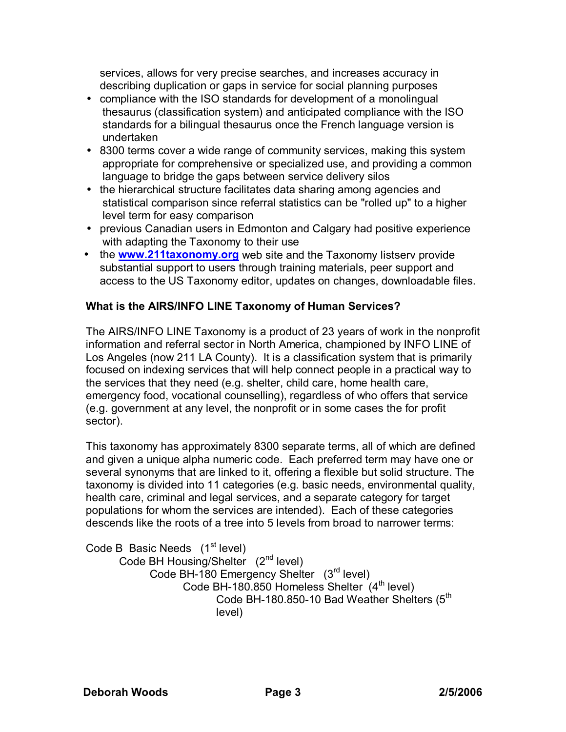services, allows for very precise searches, and increases accuracy in describing duplication or gaps in service for social planning purposes

- compliance with the ISO standards for development of a monolingual thesaurus (classification system) and anticipated compliance with the ISO standards for a bilingual thesaurus once the French language version is undertaken
- 8300 terms cover a wide range of community services, making this system appropriate for comprehensive or specialized use, and providing a common language to bridge the gaps between service delivery silos
- the hierarchical structure facilitates data sharing among agencies and statistical comparison since referral statistics can be "rolled up" to a higher level term for easy comparison
- previous Canadian users in Edmonton and Calgary had positive experience with adapting the Taxonomy to their use
- the **www.211taxonomy.org** web site and the Taxonomy listserv provide substantial support to users through training materials, peer support and access to the US Taxonomy editor, updates on changes, downloadable files.

## **What is the AIRS/INFO LINE Taxonomy of Human Services?**

The AIRS/INFO LINE Taxonomy is a product of 23 years of work in the nonprofit information and referral sector in North America, championed by INFO LINE of Los Angeles (now 211 LA County). It is a classification system that is primarily focused on indexing services that will help connect people in a practical way to the services that they need (e.g. shelter, child care, home health care, emergency food, vocational counselling), regardless of who offers that service (e.g. government at any level, the nonprofit or in some cases the for profit sector).

This taxonomy has approximately 8300 separate terms, all of which are defined and given a unique alpha numeric code. Each preferred term may have one or several synonyms that are linked to it, offering a flexible but solid structure. The taxonomy is divided into 11 categories (e.g. basic needs, environmental quality, health care, criminal and legal services, and a separate category for target populations for whom the services are intended). Each of these categories descends like the roots of a tree into 5 levels from broad to narrower terms:

Code B Basic Needs  $(1<sup>st</sup> level)$ Code BH Housing/Shelter (2<sup>nd</sup> level) Code BH-180 Emergency Shelter (3rd level) Code BH-180.850 Homeless Shelter  $(4<sup>th</sup>$  level) Code BH-180.850-10 Bad Weather Shelters (5<sup>th</sup> level)